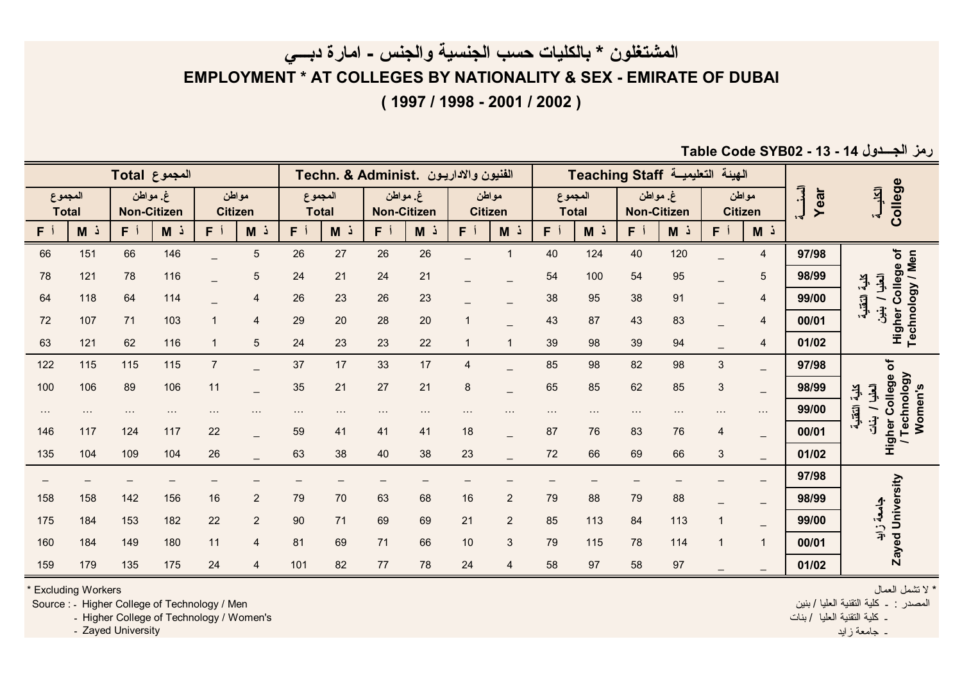**المشتغلون \* بالكليات حسب الجنسية والجنس - امارة دبـــي**

**EMPLOYMENT \* AT COLLEGES BY NATIONALITY & SEX - EMIRATE OF DUBAI**

**( 1997 / 1998 - 2001 / 2002 )**

**Table Code SYB02 - 13 - 14 الجـــدول رمز**

|                                               |                           | الهيئة التعليمية Teaching Staff                          |                |     |                         |     |                         |                |                               |     |                         | Techn. & Administ. الفنيون والاداريون |                         |                |                               |     |                         |     |     |
|-----------------------------------------------|---------------------------|----------------------------------------------------------|----------------|-----|-------------------------|-----|-------------------------|----------------|-------------------------------|-----|-------------------------|---------------------------------------|-------------------------|----------------|-------------------------------|-----|-------------------------|-----|-----|
| College<br>耳<br>$\mathbf{r}$                  | Ē<br>Year<br>$\mathbf{r}$ | غ مواطن<br>مواطن<br><b>Non-Citizen</b><br><b>Citizen</b> |                |     | المجموع<br><b>Total</b> |     | مواطن<br><b>Citizen</b> |                | غ مواطن<br><b>Non-Citizen</b> |     | المجموع<br><b>Total</b> |                                       | مواطن<br><b>Citizen</b> |                | غ مواطن<br><b>Non-Citizen</b> |     | المجموع<br><b>Total</b> |     |     |
|                                               |                           | ذ M                                                      | F <sup>j</sup> | ذ M | $F^{\dagger}$           | ذ M | F                       | M <sub>o</sub> | FÍ                            | ذ M | F <sub>j</sub>          | ذ M                                   | F <sup>j</sup>          | ذ M            | F                             | ذ M | F <sup>j</sup>          | ذ M | F.  |
|                                               | 97/98                     | 4                                                        |                | 120 | 40                      | 124 | 40                      |                |                               | 26  | 26                      | 27                                    | 26                      | 5              |                               | 146 | 66                      | 151 | 66  |
| College of<br>العليا<br>$+5$                  | 98/99                     | 5                                                        |                | 95  | 54                      | 100 | 54                      |                |                               | 21  | 24                      | 21                                    | 24                      | 5              |                               | 116 | 78                      | 121 | 78  |
| Technology / Men<br>التقنية                   | 99/00                     | 4                                                        |                | 91  | 38                      | 95  | 38                      |                |                               | 23  | 26                      | 23                                    | 26                      | 4              |                               | 114 | 64                      | 118 | 64  |
| $\ddagger$<br>Higher                          | 00/01                     | 4                                                        |                | 83  | 43                      | 87  | 43                      |                | $\overline{1}$                | 20  | 28                      | 20                                    | 29                      | $\overline{4}$ |                               | 103 | 71                      | 107 | 72  |
|                                               | 01/02                     | 4                                                        |                | 94  | 39                      | 98  | 39                      |                | $\mathbf{1}$                  | 22  | 23                      | 23                                    | 24                      | 5              |                               | 116 | 62                      | 121 | 63  |
| ৳                                             | 97/98                     | $\overline{\phantom{0}}$                                 | 3              | 98  | 82                      | 98  | 85                      |                | 4                             | 17  | 33                      | 17                                    | 37                      |                | $\overline{7}$                | 115 | 115                     | 115 | 122 |
| Technology<br>College<br>اكعليا<br>$\ddagger$ | 98/99                     | $\overline{\phantom{0}}$                                 | 3              | 85  | 62                      | 85  | 65                      |                | 8                             | 21  | 27                      | 21                                    | 35                      |                | 11                            | 106 | 89                      | 106 | 100 |
| Women's<br>التقنية                            | 99/00                     | $\sim$ $\sim$ $\sim$                                     |                |     |                         |     |                         |                |                               |     |                         |                                       | $\cdots$                |                |                               |     |                         |     |     |
| $\frac{1}{1}$<br>Higher<br>/ Tecl             | 00/01                     | $\qquad \qquad -$                                        | 4              | 76  | 83                      | 76  | 87                      |                | 18                            | 41  | 41                      | 41                                    | 59                      |                | 22                            | 117 | 124                     | 117 | 146 |
|                                               | 01/02                     | $\equiv$                                                 | 3              | 66  | 69                      | 66  | 72                      |                | 23                            | 38  | 40                      | 38                                    | 63                      |                | 26                            | 104 | 109                     | 104 | 135 |
|                                               | 97/98                     | $\qquad \qquad -$                                        |                |     |                         |     |                         |                |                               |     |                         |                                       |                         |                |                               |     |                         |     |     |
| University                                    | 98/99                     | $\overline{\phantom{0}}$                                 |                | 88  | 79                      | 88  | 79                      | $\overline{2}$ | 16                            | 68  | 63                      | 70                                    | 79                      | 2              | 16                            | 156 | 142                     | 158 | 158 |
| جامعة زاية                                    | 99/00                     | $\qquad \qquad -$                                        |                | 113 | 84                      | 113 | 85                      | $\overline{2}$ | 21                            | 69  | 69                      | 71                                    | 90                      | $\overline{2}$ | 22                            | 182 | 153                     | 184 | 175 |
| უ<br>მ                                        | 00/01                     | $\mathbf{1}$                                             |                | 114 | 78                      | 115 | 79                      | 3              | $10$                          | 66  | 71                      | 69                                    | 81                      | 4              | 11                            | 180 | 149                     | 184 | 160 |
| Zay                                           | 01/02                     |                                                          |                | 97  | 58                      | 97  | 58                      | $\overline{4}$ | 24                            | 78  | 77                      | 82                                    | 101                     | $\overline{4}$ | 24                            | 175 | 135                     | 179 | 159 |

\* Excluding Workers

Source : ـ Higher College of Technology / Men

<sup>ـ</sup> Higher College of Technology / Women's

<sup>ـ</sup> Zayed University

\* لا نشمل العمال المصدر : <sup>ـ</sup> آلية التقنية العليا / بنين ـ آلية التقنية العليا / بنات

ـ جامعة زايد